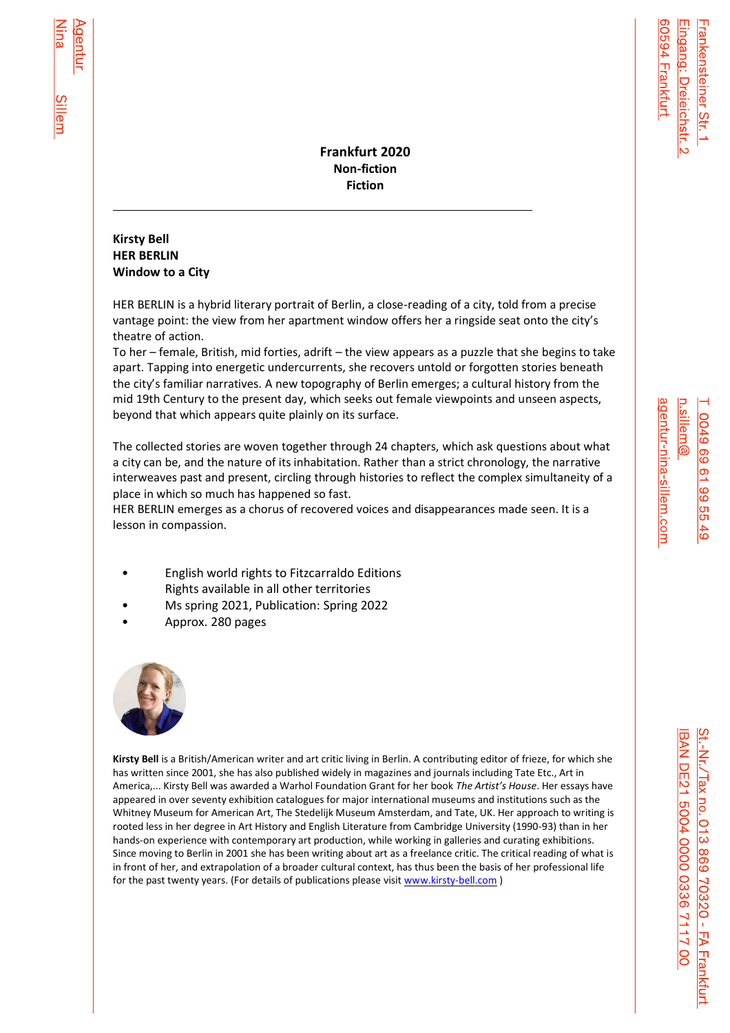**Frankfurt 2020 Non-fiction Fiction**

# **Kirsty Bell HER BERLIN Window to a City**

l

<u>Sillem</u>

HER BERLIN is a hybrid literary portrait of Berlin, a close-reading of a city, told from a precise vantage point: the view from her apartment window offers her a ringside seat onto the city's theatre of action.

To her – female, British, mid forties, adrift – the view appears as a puzzle that she begins to take apart. Tapping into energetic undercurrents, she recovers untold or forgotten stories beneath the city's familiar narratives. A new topography of Berlin emerges; a cultural history from the mid 19th Century to the present day, which seeks out female viewpoints and unseen aspects, beyond that which appears quite plainly on its surface.

The collected stories are woven together through 24 chapters, which ask questions about what a city can be, and the nature of its inhabitation. Rather than a strict chronology, the narrative interweaves past and present, circling through histories to reflect the complex simultaneity of a place in which so much has happened so fast.

HER BERLIN emerges as a chorus of recovered voices and disappearances made seen. It is a lesson in compassion.

- English world rights to Fitzcarraldo Editions Rights available in all other territories
- Ms spring 2021, Publication: Spring 2022
- Approx. 280 pages



**Kirsty Bell** is a British/American writer and art critic living in Berlin. A contributing editor of frieze, for which she has written since 2001, she has also published widely in magazines and journals including Tate Etc., Art in America,... Kirsty Bell was awarded a Warhol Foundation Grant for her book *The Artist's House*. Her essays have appeared in over seventy exhibition catalogues for major international museums and institutions such as the Whitney Museum for American Art, The Stedelijk Museum Amsterdam, and Tate, UK. Her approach to writing is rooted less in her degree in Art History and English Literature from Cambridge University (1990-93) than in her hands-on experience with contemporary art production, while working in galleries and curating exhibitions. Since moving to Berlin in 2001 she has been writing about art as a freelance critic. The critical reading of what is in front of her, and extrapolation of a broader cultural context, has thus been the basis of her professional life for the past twenty years. (For details of publications please visi[t www.kirsty-bell.com](http://www.kirsty-bell.com/) )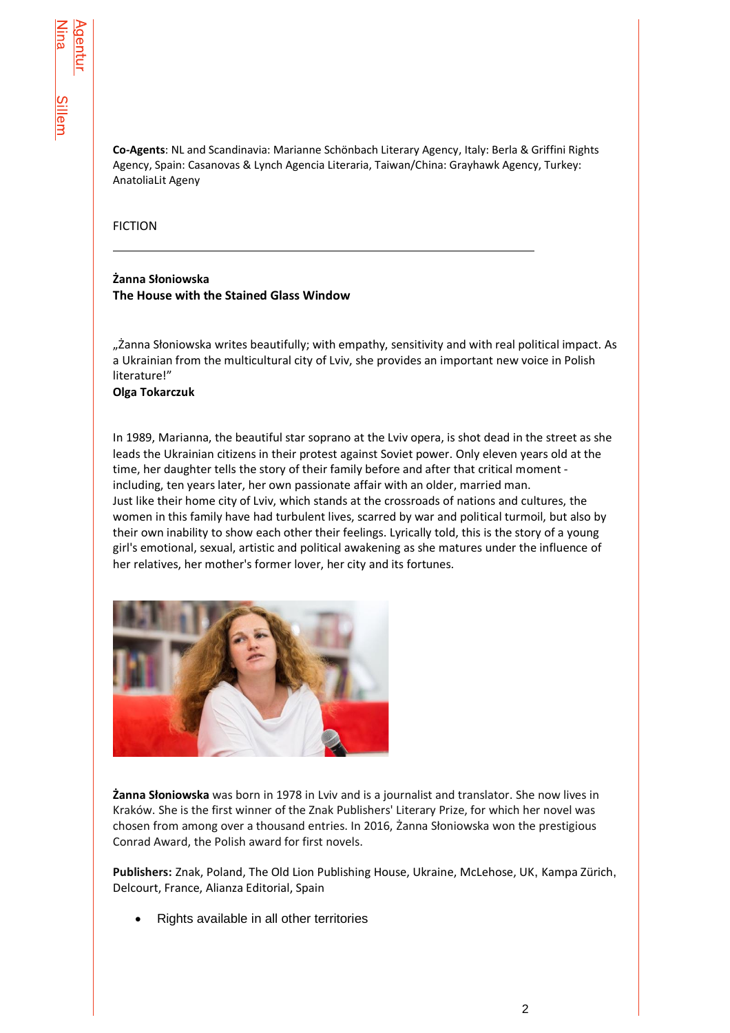**Co-Agents**: NL and Scandinavia: Marianne Schönbach Literary Agency, Italy: Berla & Griffini Rights Agency, Spain: Casanovas & Lynch Agencia Literaria, Taiwan/China: Grayhawk Agency, Turkey: AnatoliaLit Ageny

### FICTION

l

## **Żanna Słoniowska The House with the Stained Glass Window**

"Żanna Słoniowska writes beautifully; with empathy, sensitivity and with real political impact. As a Ukrainian from the multicultural city of Lviv, she provides an important new voice in Polish literature!"

#### **Olga Tokarczuk**

In 1989, Marianna, the beautiful star soprano at the Lviv opera, is shot dead in the street as she leads the Ukrainian citizens in their protest against Soviet power. Only eleven years old at the time, her daughter tells the story of their family before and after that critical moment including, ten years later, her own passionate affair with an older, married man. Just like their home city of Lviv, which stands at the crossroads of nations and cultures, the women in this family have had turbulent lives, scarred by war and political turmoil, but also by their own inability to show each other their feelings. Lyrically told, this is the story of a young girl's emotional, sexual, artistic and political awakening as she matures under the influence of her relatives, her mother's former lover, her city and its fortunes.



**Żanna Słoniowska** was born in 1978 in Lviv and is a journalist and translator. She now lives in Kraków. She is the first winner of the Znak Publishers' Literary Prize, for which her novel was chosen from among over a thousand entries. In 2016, Żanna Słoniowska won the prestigious Conrad Award, the Polish award for first novels.

**Publishers:** Znak, Poland, The Old Lion Publishing House, Ukraine, McLehose, UK, Kampa Zürich, Delcourt, France, Alianza Editorial, Spain

• Rights available in all other territories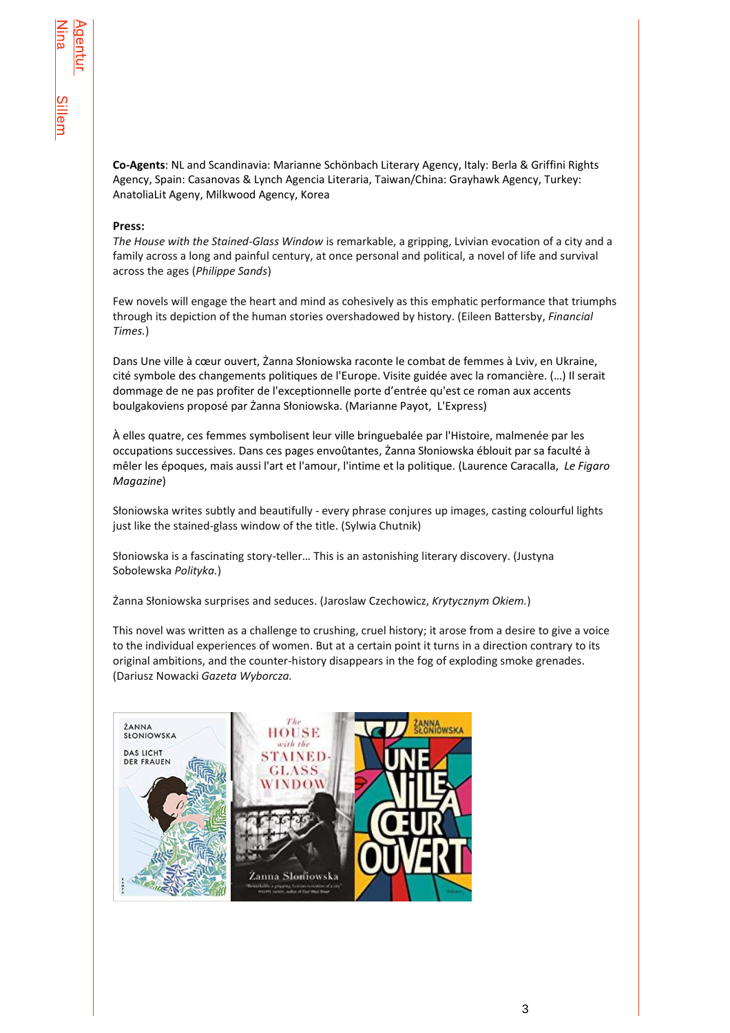**Co-Agents**: NL and Scandinavia: Marianne Schönbach Literary Agency, Italy: Berla & Griffini Rights Agency, Spain: Casanovas & Lynch Agencia Literaria, Taiwan/China: Grayhawk Agency, Turkey: AnatoliaLit Ageny, Milkwood Agency, Korea

#### **Press:**

*The House with the Stained-Glass Window* is remarkable, a gripping, Lvivian evocation of a city and a family across a long and painful century, at once personal and political, a novel of life and survival across the ages (*Philippe Sands*)

Few novels will engage the heart and mind as cohesively as this emphatic performance that triumphs through its depiction of the human stories overshadowed by history. (Eileen Battersby, *Financial Times.*)

Dans Une ville à cœur ouvert, Żanna Słoniowska raconte le combat de femmes à Lviv, en Ukraine, cité symbole des changements politiques de l'Europe. Visite guidée avec la romancière. (…) Il serait dommage de ne pas profiter de l'exceptionnelle porte d'entrée qu'est ce roman aux accents boulgakoviens proposé par Żanna Słoniowska. (Marianne Payot,L'Express)

À elles quatre, ces femmes symbolisent leur ville bringuebalée par l'Histoire, malmenée par les occupations successives. Dans ces pages envoûtantes, Żanna Słoniowska éblouit par sa faculté à mêler les époques, mais aussi l'art et l'amour, l'intime et la politique. (Laurence Caracalla,*Le Figaro Magazine*)

Słoniowska writes subtly and beautifully - every phrase conjures up images, casting colourful lights just like the stained-glass window of the title. (Sylwia Chutnik)

Słoniowska is a fascinating story-teller… This is an astonishing literary discovery. (Justyna Sobolewska *Polityka.*)

Żanna Słoniowska surprises and seduces. (Jaroslaw Czechowicz, *Krytycznym Okiem.*)

This novel was written as a challenge to crushing, cruel history; it arose from a desire to give a voice to the individual experiences of women. But at a certain point it turns in a direction contrary to its original ambitions, and the counter-history disappears in the fog of exploding smoke grenades. (Dariusz Nowacki *Gazeta Wyborcza.*

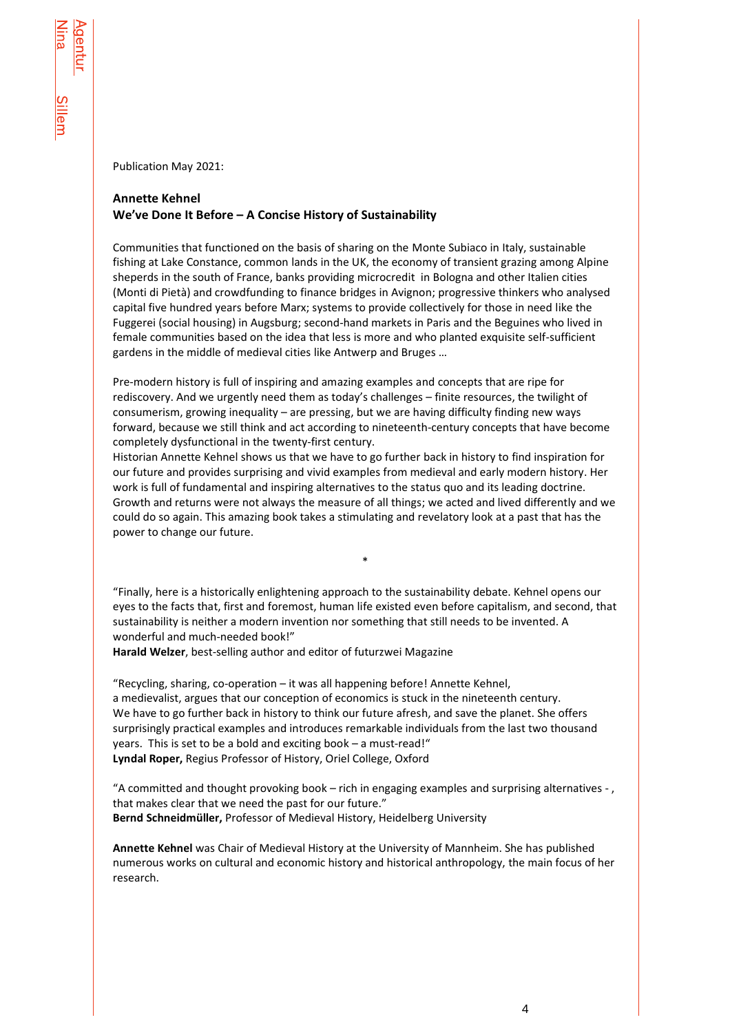Publication May 2021:

## **Annette Kehnel We've Done It Before – A Concise History of Sustainability**

Communities that functioned on the basis of sharing on the Monte Subiaco in Italy, sustainable fishing at Lake Constance, common lands in the UK, the economy of transient grazing among Alpine sheperds in the south of France, banks providing microcredit in Bologna and other Italien cities (Monti di Pietà) and crowdfunding to finance bridges in Avignon; progressive thinkers who analysed capital five hundred years before Marx; systems to provide collectively for those in need like the Fuggerei (social housing) in Augsburg; second-hand markets in Paris and the Beguines who lived in female communities based on the idea that less is more and who planted exquisite self-sufficient gardens in the middle of medieval cities like Antwerp and Bruges …

Pre-modern history is full of inspiring and amazing examples and concepts that are ripe for rediscovery. And we urgently need them as today's challenges – finite resources, the twilight of consumerism, growing inequality – are pressing, but we are having difficulty finding new ways forward, because we still think and act according to nineteenth-century concepts that have become completely dysfunctional in the twenty-first century.

Historian Annette Kehnel shows us that we have to go further back in history to find inspiration for our future and provides surprising and vivid examples from medieval and early modern history. Her work is full of fundamental and inspiring alternatives to the status quo and its leading doctrine. Growth and returns were not always the measure of all things; we acted and lived differently and we could do so again. This amazing book takes a stimulating and revelatory look at a past that has the power to change our future.

"Finally, here is a historically enlightening approach to the sustainability debate. Kehnel opens our eyes to the facts that, first and foremost, human life existed even before capitalism, and second, that sustainability is neither a modern invention nor something that still needs to be invented. A wonderful and much-needed book!"

\*

**Harald Welzer**, best-selling author and editor of futurzwei Magazine

"Recycling, sharing, co-operation – it was all happening before! Annette Kehnel, a medievalist, argues that our conception of economics is stuck in the nineteenth century. We have to go further back in history to think our future afresh, and save the planet. She offers surprisingly practical examples and introduces remarkable individuals from the last two thousand years. This is set to be a bold and exciting book – a must-read!" **Lyndal Roper,** Regius Professor of History, Oriel College, Oxford

"A committed and thought provoking book – rich in engaging examples and surprising alternatives - , that makes clear that we need the past for our future." **Bernd Schneidmüller,** Professor of Medieval History, Heidelberg University

**Annette Kehnel** was Chair of Medieval History at the University of Mannheim. She has published numerous works on cultural and economic history and historical anthropology, the main focus of her research.